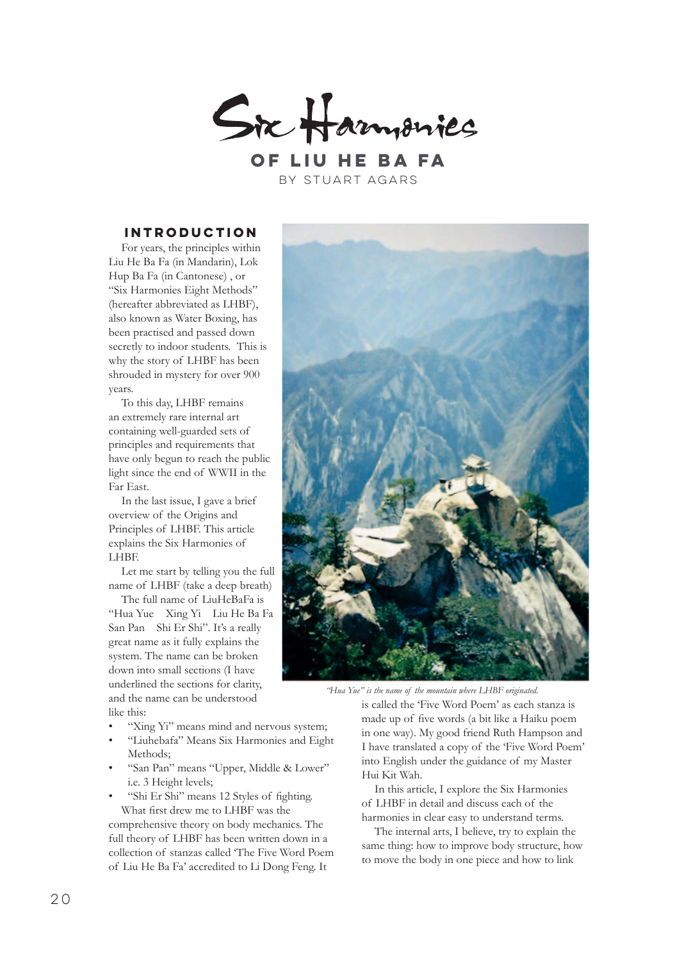Six Harmonies **of Liu He Ba Fa** by Stuart Agars

### **Introduction**

For years, the principles within Liu He Ba Fa (in Mandarin), Lok Hup Ba Fa (in Cantonese) , or "Six Harmonies Eight Methods" (hereafter abbreviated as LHBF), also known as Water Boxing, has been practised and passed down secretly to indoor students. This is why the story of LHBF has been shrouded in mystery for over 900 years.

To this day, LHBF remains an extremely rare internal art containing well-guarded sets of principles and requirements that have only begun to reach the public light since the end of WWII in the Far East.

In the last issue, I gave a brief overview of the Origins and Principles of LHBF. This article explains the Six Harmonies of LHBF.

Let me start by telling you the full name of LHBF (take a deep breath)

The full name of LiuHeBaFa is "Hua Yue Xing Yi Liu He Ba Fa San Pan Shi Er Shi". It's a really great name as it fully explains the system. The name can be broken down into small sections (I have underlined the sections for clarity, and the name can be understood like this:

- "Xing Yi" means mind and nervous system;
- "Liuhebafa" Means Six Harmonies and Eight Methods;
- "San Pan" means "Upper, Middle & Lower" i.e. 3 Height levels;
- "Shi Er Shi" means 12 Styles of fighting. What first drew me to LHBF was the comprehensive theory on body mechanics. The full theory of LHBF has been written down in a collection of stanzas called 'The Five Word Poem of Liu He Ba Fa' accredited to Li Dong Feng. It



*"Hua Yue" is the name of the mountain where LHBF originated.*

is called the 'Five Word Poem' as each stanza is made up of five words (a bit like a Haiku poem in one way). My good friend Ruth Hampson and I have translated a copy of the 'Five Word Poem' into English under the guidance of my Master Hui Kit Wah.

In this article, I explore the Six Harmonies of LHBF in detail and discuss each of the harmonies in clear easy to understand terms.

The internal arts, I believe, try to explain the same thing: how to improve body structure, how to move the body in one piece and how to link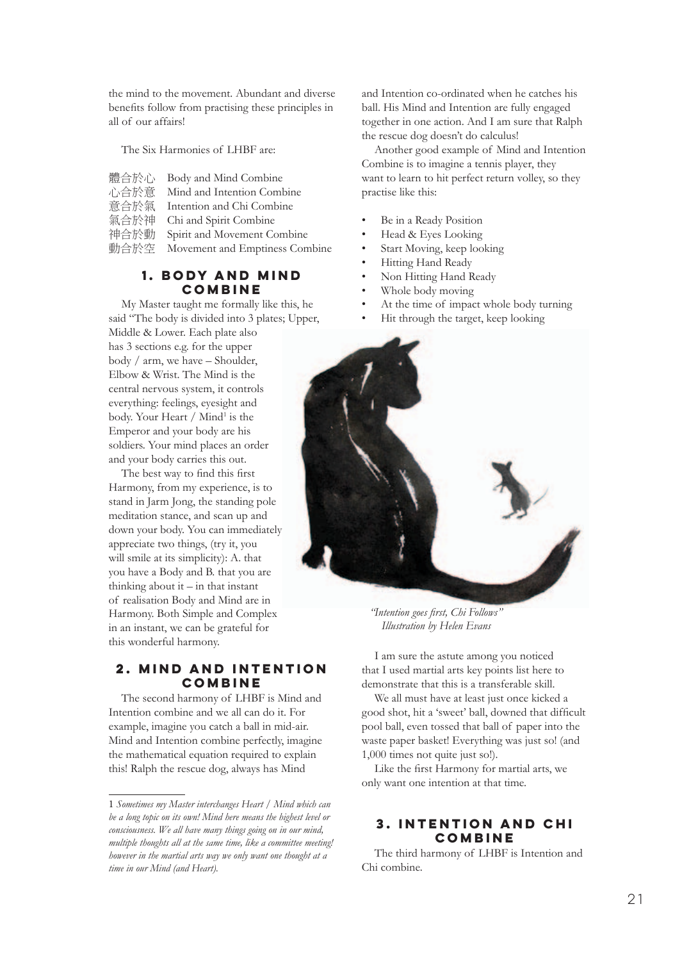the mind to the movement. Abundant and diverse benefits follow from practising these principles in all of our affairs!

The Six Harmonies of LHBF are:

| 體合於心 | Body and Mind Combine          |
|------|--------------------------------|
| 心合於意 | Mind and Intention Combine     |
| 意合於氣 | Intention and Chi Combine      |
| 氣合於神 | Chi and Spirit Combine         |
| 神合於動 | Spirit and Movement Combine    |
| 動合於空 | Movement and Emptiness Combine |

### **1. Body and Mind Combine**

My Master taught me formally like this, he said "The body is divided into 3 plates; Upper, Middle & Lower. Each plate also has 3 sections e.g. for the upper body / arm, we have – Shoulder, Elbow & Wrist. The Mind is the central nervous system, it controls everything: feelings, eyesight and body. Your Heart / Mind<sup>1</sup> is the Emperor and your body are his soldiers. Your mind places an order and your body carries this out.

The best way to find this first Harmony, from my experience, is to stand in Jarm Jong, the standing pole meditation stance, and scan up and down your body. You can immediately appreciate two things, (try it, you will smile at its simplicity): A. that you have a Body and B. that you are thinking about it – in that instant of realisation Body and Mind are in Harmony. Both Simple and Complex in an instant, we can be grateful for this wonderful harmony.

# **2. Mind and intention Combine**

The second harmony of LHBF is Mind and Intention combine and we all can do it. For example, imagine you catch a ball in mid-air. Mind and Intention combine perfectly, imagine the mathematical equation required to explain this! Ralph the rescue dog, always has Mind

and Intention co-ordinated when he catches his ball. His Mind and Intention are fully engaged together in one action. And I am sure that Ralph the rescue dog doesn't do calculus!

Another good example of Mind and Intention Combine is to imagine a tennis player, they want to learn to hit perfect return volley, so they practise like this:

- Be in a Ready Position
- Head & Eyes Looking
- Start Moving, keep looking
- Hitting Hand Ready
- Non Hitting Hand Ready
- Whole body moving
- At the time of impact whole body turning
- Hit through the target, keep looking



*"Intention goes first, Chi Follows" Illustration by Helen Evans*

I am sure the astute among you noticed that I used martial arts key points list here to demonstrate that this is a transferable skill.

We all must have at least just once kicked a good shot, hit a 'sweet' ball, downed that difficult pool ball, even tossed that ball of paper into the waste paper basket! Everything was just so! (and 1,000 times not quite just so!).

Like the first Harmony for martial arts, we only want one intention at that time.

# **3. Intention and chi Combine**

The third harmony of LHBF is Intention and Chi combine.

<sup>1</sup> *Sometimes my Master interchanges Heart / Mind which can be a long topic on its own! Mind here means the highest level or consciousness. We all have many things going on in our mind, multiple thoughts all at the same time, like a committee meeting! however in the martial arts way we only want one thought at a time in our Mind (and Heart).*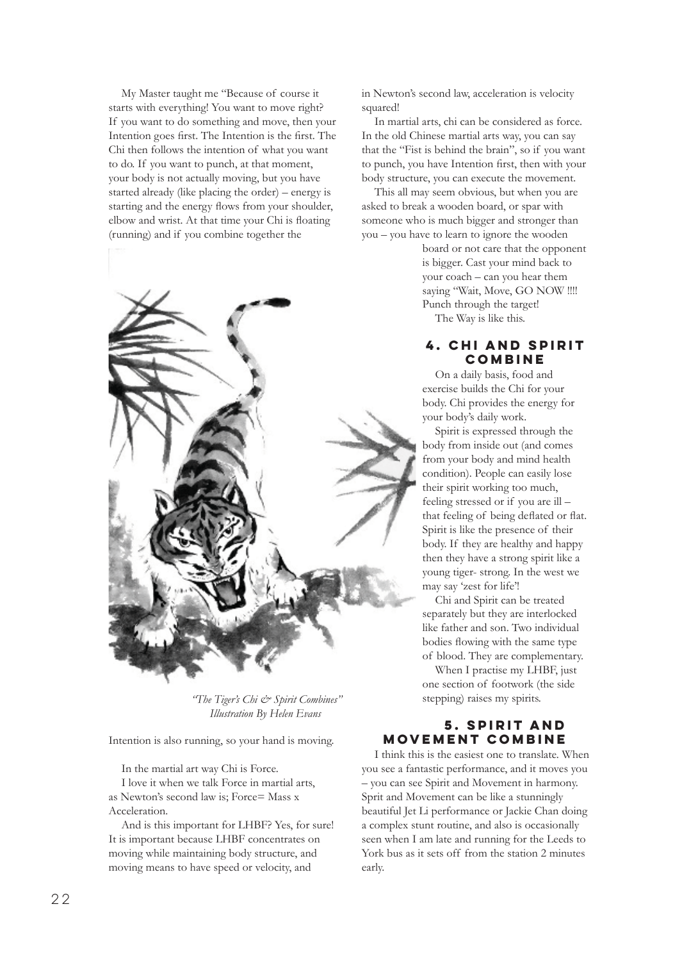My Master taught me "Because of course it starts with everything! You want to move right? If you want to do something and move, then your Intention goes first. The Intention is the first. The Chi then follows the intention of what you want to do. If you want to punch, at that moment, your body is not actually moving, but you have started already (like placing the order) – energy is starting and the energy flows from your shoulder, elbow and wrist. At that time your Chi is floating (running) and if you combine together the



 *"The Tiger's Chi & Spirit Combines" Illustration By Helen Evans*

Intention is also running, so your hand is moving.

In the martial art way Chi is Force.

I love it when we talk Force in martial arts, as Newton's second law is; Force= Mass x Acceleration.

And is this important for LHBF? Yes, for sure! It is important because LHBF concentrates on moving while maintaining body structure, and moving means to have speed or velocity, and

in Newton's second law, acceleration is velocity squared!

In martial arts, chi can be considered as force. In the old Chinese martial arts way, you can say that the "Fist is behind the brain", so if you want to punch, you have Intention first, then with your body structure, you can execute the movement.

This all may seem obvious, but when you are asked to break a wooden board, or spar with someone who is much bigger and stronger than you – you have to learn to ignore the wooden

> board or not care that the opponent is bigger. Cast your mind back to your coach – can you hear them saying "Wait, Move, GO NOW !!!! Punch through the target! The Way is like this.

#### **4. chi and spirit Combine**

On a daily basis, food and exercise builds the Chi for your body. Chi provides the energy for your body's daily work.

Spirit is expressed through the body from inside out (and comes from your body and mind health condition). People can easily lose their spirit working too much, feeling stressed or if you are ill – that feeling of being deflated or flat. Spirit is like the presence of their body. If they are healthy and happy then they have a strong spirit like a young tiger- strong. In the west we may say 'zest for life'!

Chi and Spirit can be treated separately but they are interlocked like father and son. Two individual bodies flowing with the same type of blood. They are complementary.

When I practise my LHBF, just one section of footwork (the side stepping) raises my spirits.

#### **5. spirit and movement Combine**

I think this is the easiest one to translate. When you see a fantastic performance, and it moves you – you can see Spirit and Movement in harmony. Sprit and Movement can be like a stunningly beautiful Jet Li performance or Jackie Chan doing a complex stunt routine, and also is occasionally seen when I am late and running for the Leeds to York bus as it sets off from the station 2 minutes early.